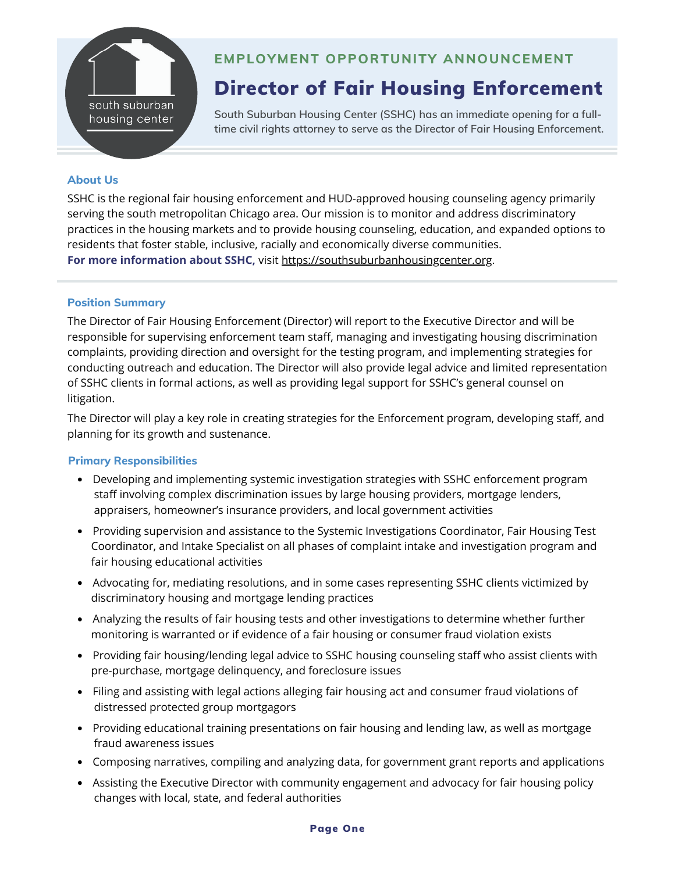

# **EMPLOYMENT OPPORTUNITY ANNOUNCEMENT**

# Director of Fair Housing Enforcement

**South Suburban Housing Center (SSHC) has an immediate opening for a fulltime civil rights attorney to serve as the Director of Fair Housing Enforcement.**

# **About Us**

SSHC is the regional fair housing enforcement and HUD-approved housing counseling agency primarily serving the south metropolitan Chicago area. Our mission is to monitor and address discriminatory practices in the housing markets and to provide housing counseling, education, and expanded options to residents that foster stable, inclusive, racially and economically diverse communities. **For more information about SSHC,** visit [https://southsuburbanhousingcenter.org](https://southsuburbanhousingcenter.org/).

## **Position Summary**

The Director of Fair Housing Enforcement (Director) will report to the Executive Director and will be responsible for supervising enforcement team staff, managing and investigating housing discrimination complaints, providing direction and oversight for the testing program, and implementing strategies for conducting outreach and education. The Director will also provide legal advice and limited representation of SSHC clients in formal actions, as well as providing legal support for SSHC's general counsel on litigation.

The Director will play a key role in creating strategies for the Enforcement program, developing staff, and planning for its growth and sustenance.

## **Primary Responsibilities**

- Developing and implementing systemic investigation strategies with SSHC enforcement program staff involving complex discrimination issues by large housing providers, mortgage lenders, appraisers, homeowner's insurance providers, and local government activities
- Providing supervision and assistance to the Systemic Investigations Coordinator, Fair Housing Test Coordinator, and Intake Specialist on all phases of complaint intake and investigation program and fair housing educational activities
- Advocating for, mediating resolutions, and in some cases representing SSHC clients victimized by discriminatory housing and mortgage lending practices
- Analyzing the results of fair housing tests and other investigations to determine whether further monitoring is warranted or if evidence of a fair housing or consumer fraud violation exists
- Providing fair housing/lending legal advice to SSHC housing counseling staff who assist clients with pre-purchase, mortgage delinquency, and foreclosure issues
- Filing and assisting with legal actions alleging fair housing act and consumer fraud violations of distressed protected group mortgagors
- Providing educational training presentations on fair housing and lending law, as well as mortgage fraud awareness issues
- Composing narratives, compiling and analyzing data, for government grant reports and applications
- Assisting the Executive Director with community engagement and advocacy for fair housing policy changes with local, state, and federal authorities